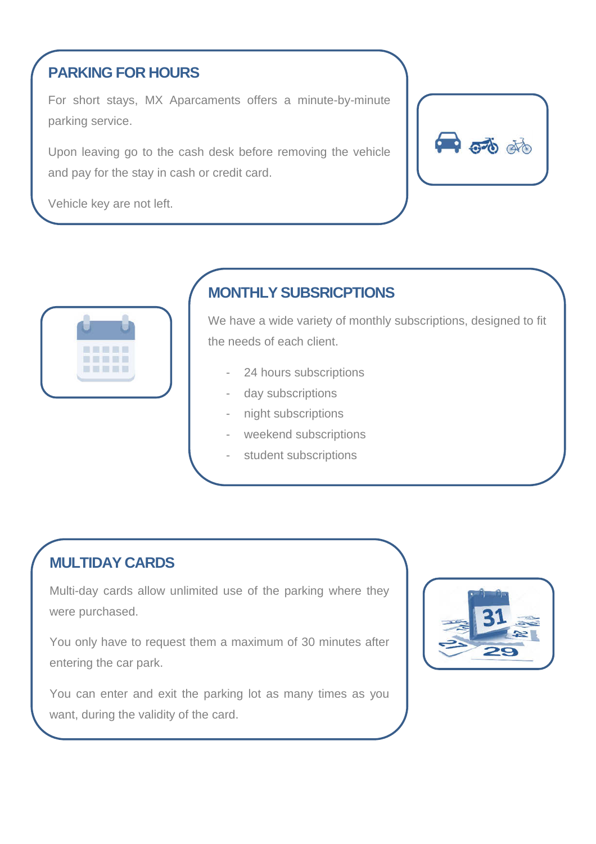### **PARKING FOR HOURS**

For short stays, MX Aparcaments offers a minute-by-minute parking service.

Upon leaving go to the cash desk before removing the vehicle and pay for the stay in cash or credit card.

Vehicle key are not left.

 $\bullet$   $\vec{\bullet}$   $\vec{\bullet}$ 



## **MONTHLY SUBSRICPTIONS**

We have a wide variety of monthly subscriptions, designed to fit the needs of each client.

- 24 hours subscriptions
- day subscriptions
- night subscriptions
- weekend subscriptions
- student subscriptions

#### **MULTIDAY CARDS**

Multi-day cards allow unlimited use of the parking where they were purchased.

You only have to request them a maximum of 30 minutes after entering the car park.

You can enter and exit the parking lot as many times as you want, during the validity of the card.